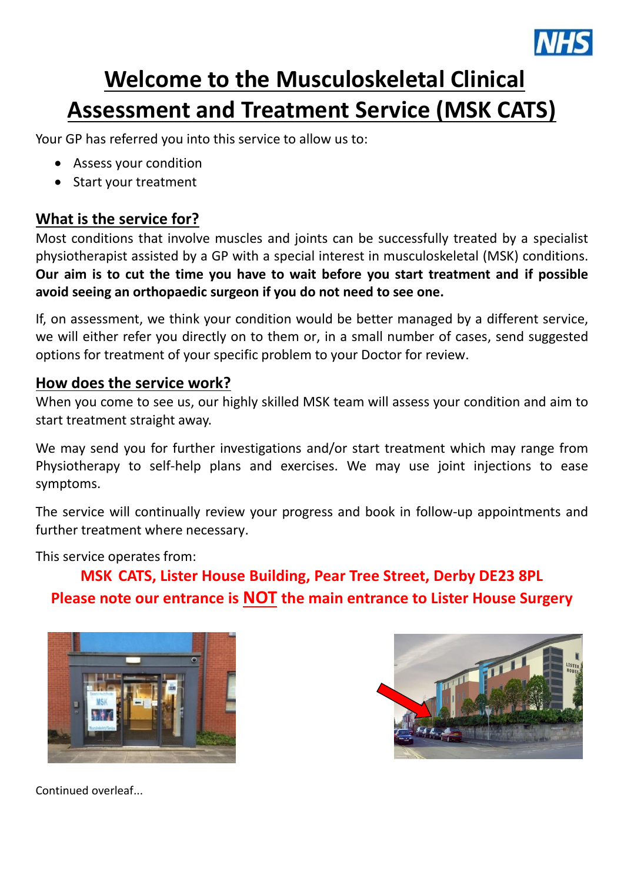

# **Welcome to the Musculoskeletal Clinical Assessment and Treatment Service (MSK CATS)**

Your GP has referred you into this service to allow us to:

- Assess your condition
- Start your treatment

## **What is the service for?**

Most conditions that involve muscles and joints can be successfully treated by a specialist physiotherapist assisted by a GP with a special interest in musculoskeletal (MSK) conditions. **Our aim is to cut the time you have to wait before you start treatment and if possible avoid seeing an orthopaedic surgeon if you do not need to see one.**

If, on assessment, we think your condition would be better managed by a different service, we will either refer you directly on to them or, in a small number of cases, send suggested options for treatment of your specific problem to your Doctor for review.

## **How does the service work?**

When you come to see us, our highly skilled MSK team will assess your condition and aim to start treatment straight away.

We may send you for further investigations and/or start treatment which may range from Physiotherapy to self-help plans and exercises. We may use joint injections to ease symptoms.

The service will continually review your progress and book in follow-up appointments and further treatment where necessary.

This service operates from:

**MSK CATS, Lister House Building, Pear Tree Street, Derby DE23 8PL Please note our entrance is NOT the main entrance to Lister House Surgery**





Continued overleaf...